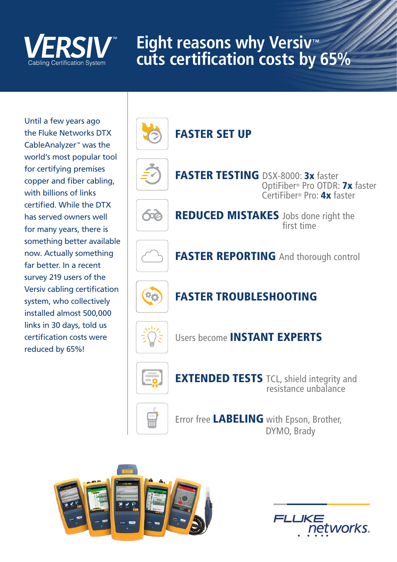

# **Eight reasons why Versiv™ cuts certification costs by 65%**

Until a few years ago the Fluke Networks DTX CableAnalyzer™ was the world's most popular tool for certifying premises copper and fiber cabling, with billions of links certified. While the DTX has served owners well for many years, there is something better available now. Actually something far better. In a recent survey 219 users of the Versiv cabling certification system, who collectively installed almost 500,000 links in 30 days, told us certification costs were reduced by 65%!





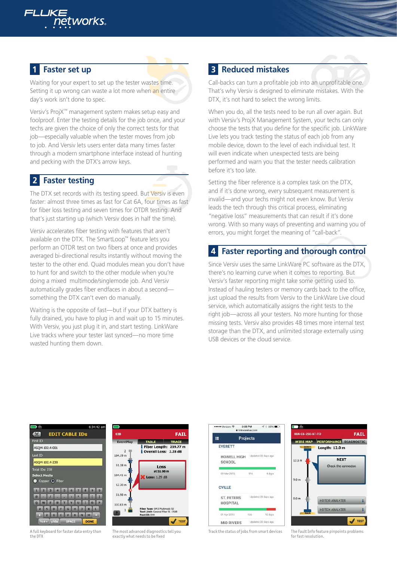

### **Faster set up**

Waiting for your expert to set up the tester wastes time. Setting it up wrong can waste a lot more when an entire day's work isn't done to spec.

Versiv's ProjX™ management system makes setup easy and foolproof. Enter the testing details for the job once, and your techs are given the choice of only the correct tests for that job—especially valuable when the tester moves from job to job. And Versiv lets users enter data many times faster through a modern smartphone interface instead of hunting and pecking with the DTX's arrow keys.

### **2** Faster testing

The DTX set records with its testing speed. But Versiv is even faster: almost three times as fast for Cat 6A, four times as fast for fiber loss testing and seven times for OTDR testing. And that's just starting up (which Versiv does in half the time).

Versiv accelerates fiber testing with features that aren't available on the DTX. The SmartLoop™ feature lets you perform an OTDR test on two fibers at once and provides averaged bi-directional results instantly without moving the tester to the other end. Quad modules mean you don't have to hunt for and switch to the other module when you're doing a mixed multimode/singlemode job. And Versiv automatically grades fiber endfaces in about a second something the DTX can't even do manually.

Waiting is the opposite of fast—but if your DTX battery is fully drained, you have to plug in and wait up to 15 minutes. With Versiv, you just plug it in, and start testing. LinkWare Live tracks where your tester last synced—no more time wasted hunting them down.

### **Reduced mistakes**

Call-backs can turn a profitable job into an unprofitable one. That's why Versiv is designed to eliminate mistakes. With the DTX, it's not hard to select the wrong limits.

When you do, all the tests need to be run all over again. But with Versiv's ProjX Management System, your techs can only choose the tests that you define for the specific job. LinkWare Live lets you track testing the status of each job from any mobile device, down to the level of each individual test. It will even indicate when unexpected tests are being performed and warn you that the tester needs calibration before it's too late.

Setting the fiber reference is a complex task on the DTX, and if it's done wrong, every subsequent measurement is invalid—and your techs might not even know. But Versiv leads the tech through this critical process, eliminating "negative loss" measurements that can result if it's done wrong. With so many ways of preventing and warning you of errors, you might forget the meaning of "call-back".

### **Faster reporting and thorough control**

Since Versiv uses the same LinkWare PC software as the DTX, there's no learning curve when it comes to reporting. But Versiv's faster reporting might take some getting used to. Instead of hauling testers or memory cards back to the office, just upload the results from Versiv to the LinkWare Live cloud service, which automatically assigns the right tests to the right job—across all your testers. No more hunting for those missing tests. Versiv also provides 48 times more internal test storage than the DTX, and unlimited storage externally using USB devices or the cloud service.



A full keyboard for faster data entry than

the DTX



The most advanced diagnostics tell you exactly what needs to be fixed





Track the status of jobs from smart devices

The Fault Info feature pinpoints problems for fast resolution.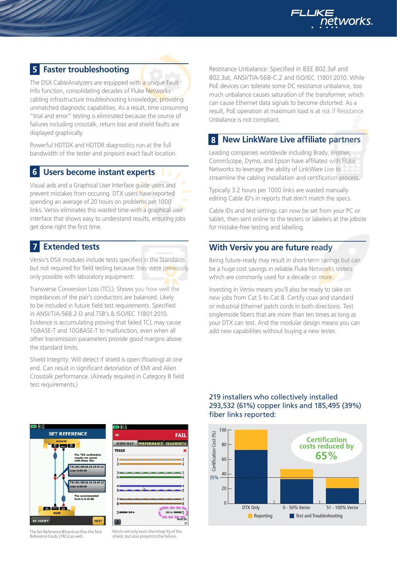

### **Faster troubleshooting**

The DSX CableAnalyzers are equipped with a unique Fault Info function, consolidating decades of Fluke Networks cabling infrastructure troubleshooting knowledge, providing unmatched diagnostic capabilities. As a result, time consuming "trial and error" testing is eliminated because the source of failures including crosstalk, return loss and shield faults are displayed graphically.

Powerful HDTDX and HDTDR diagnostics run at the full bandwidth of the tester and pinpoint exact fault location.

#### $6<sup>1</sup>$ **Users become instant experts**

Visual aids and a Graphical User Interface guide users and prevent mistakes from occuring. DTX users have reported spending an average of 20 hours on problems per 1000 links. Versiv eliminates this wasted time with a graphical user interface that shows easy to understand results, ensuring jobs get done right the first time.

### **Extended tests**

Versiv's DSX modules include tests specified in the Standards but not required for field testing because they were previously only possible with laboratory equipment:

Transverse Conversion Loss (TCL): Shows you how well the impedances of the pair's conductors are balanced. Likely to be included in future field test requirements. Specified in ANSI/TIA-568.2-D and TSB's & ISO/IEC 11801:2010. Evidence is accumulating proving that failed TCL may cause 1GBASE-T and 10GBASE-T to malfunction, even when all other transmission parameters provide good margins above the standard limits.

Shield Integrity: Will detect if shield is open (floating) at one end. Can result in significant detoriation of EMI and Alien Crosstalk performance. (Already required in Category 8 field test requirements.)

Resistance Unbalance: Specified in IEEE 802.3af and 802.3at, ANSI/TIA-568-C.2 and ISO/IEC 11801:2010. While PoE devices can tolerate some DC resistance unbalance, too much unbalance causes saturation of the transformer, which can cause Ethernet data signals to become distorted. As a result, PoE operation at maximum load is at risk if Resistance Unbalance is not compliant.

#### 8 **New LinkWare Live affiliate partners A-001**

Leading companies worldwide including Brady, Brother, CommScope, Dymo, and Epson have affiliated with Fluke Networks to leverage the ability of LinkWare Live to streamline the cabling installation and certification process.

Typically 3.2 hours per 1000 links are wasted manually editing Cable ID's in reports that don't match the specs.

Cable IDs and test settings can now be set from your PC or tablet, then sent online to the testers or labelers at the jobsite for mistake-free testing and labelling.

### **With Versiv you are future ready**

Being future-ready may result in short-term savings but can be a huge cost savings in reliable Fluke Networks testers which are commonly used for a decade or more.

Investing in Versiv means you'll also be ready to take on new jobs from Cat 5 to Cat 8. Certify coax and standard or industrial Ethernet patch cords in both directions. Test singlemode fibers that are more than ten times as long as your DTX can test. And the modular design means you can add new capabilities without buying a new tester.



| m                                                              |                                     |
|----------------------------------------------------------------|-------------------------------------|
| S <sub>6</sub>                                                 | <b>FAIL</b>                         |
| PERFORMANCE DIAGNOSTIC<br><b>WIRE MAP</b>                      |                                     |
| <b>T568B</b>                                                   | x                                   |
| <b>Contract Contract Contract Contract</b><br>_________        |                                     |
| $6 \equiv$<br>and the control of the control of the control of | $-$ 6                               |
| 4<br>5 - - -                                                   | ____________                        |
| $7 -$<br>-------<br>$\overline{\mathbf{r}}$<br>_____           | — 8                                 |
| $S = 0.0 m$                                                    | $6.1 m \equiv S$<br>---<br>Next ID: |
|                                                                | 57                                  |

219 installers who collectively installed 293,532 (61%) copper links and 185,495 (39%) fiber links reported:



The Set Reference Wizard verifies the Test Reference Cords (TRCs) as well.

Versiv not only tests the integrity of the shield, but also pinpoints the failure.